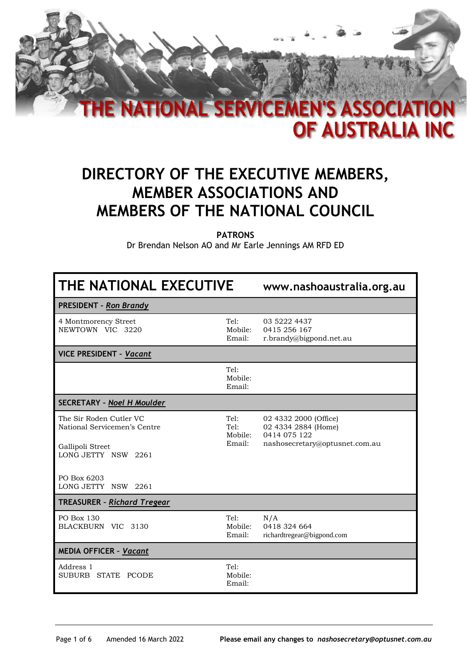

## **DIRECTORY OF THE EXECUTIVE MEMBERS, MEMBER ASSOCIATIONS AND MEMBERS OF THE NATIONAL COUNCIL**

**PATRONS**

Dr Brendan Nelson AO and Mr Earle Jennings AM RFD ED

| THE NATIONAL EXECUTIVE                                                                             |                                   | www.nashoaustralia.org.au                                                                      |
|----------------------------------------------------------------------------------------------------|-----------------------------------|------------------------------------------------------------------------------------------------|
| <b>PRESIDENT - Ron Brandy</b>                                                                      |                                   |                                                                                                |
| 4 Montmorency Street<br>NEWTOWN VIC 3220                                                           | Tel:<br>Mobile:<br>Email:         | 03 5222 4437<br>0415 256 167<br>r.brandy@bigpond.net.au                                        |
| <b>VICE PRESIDENT - Vacant</b>                                                                     |                                   |                                                                                                |
|                                                                                                    | Tel:<br>Mobile:<br>Email:         |                                                                                                |
| <b>SECRETARY - Noel H Moulder</b>                                                                  |                                   |                                                                                                |
| The Sir Roden Cutler VC<br>National Servicemen's Centre<br>Gallipoli Street<br>LONG JETTY NSW 2261 | Tel:<br>Tel:<br>Mobile:<br>Email: | 02 4332 2000 (Office)<br>02 4334 2884 (Home)<br>0414 075 122<br>nashosecretary@optusnet.com.au |
| PO Box 6203<br>LONG JETTY NSW 2261                                                                 |                                   |                                                                                                |
| <b>TREASURER - Richard Tregear</b>                                                                 |                                   |                                                                                                |
| PO Box 130<br>BLACKBURN VIC 3130                                                                   | Tel:<br>Mobile:<br>Email:         | N/A<br>0418 324 664<br>richardtregear@bigpond.com                                              |
| <b>MEDIA OFFICER - Vacant</b>                                                                      |                                   |                                                                                                |
| Address 1<br>SUBURB STATE PCODE                                                                    | Tel:<br>Mobile:<br>Email:         |                                                                                                |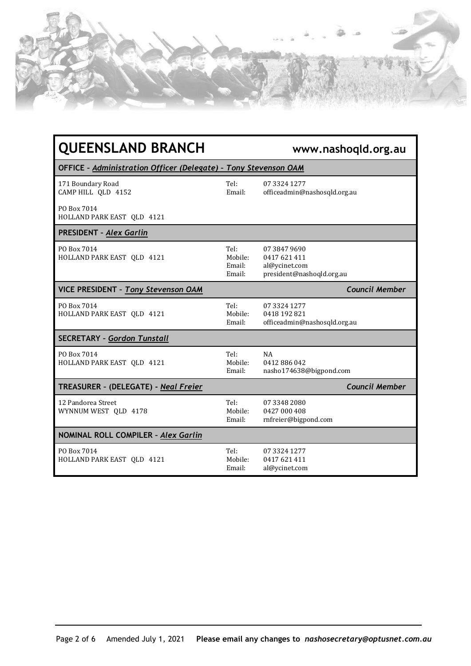| <b>QUEENSLAND BRANCH</b>                                        |                                     | www.nashoqld.org.au                                                      |
|-----------------------------------------------------------------|-------------------------------------|--------------------------------------------------------------------------|
| OFFICE - Administration Officer (Delegate) - Tony Stevenson OAM |                                     |                                                                          |
| 171 Boundary Road<br>CAMP HILL QLD 4152                         | Tel:<br>Email:                      | 07 3324 1277<br>officeadmin@nashosqld.org.au                             |
| PO Box 7014<br>HOLLAND PARK EAST QLD 4121                       |                                     |                                                                          |
| PRESIDENT - Alex Garlin                                         |                                     |                                                                          |
| PO Box 7014<br>HOLLAND PARK EAST QLD 4121                       | Tel:<br>Mobile:<br>Email:<br>Email: | 07 3847 9690<br>0417621411<br>al@ycinet.com<br>president@nashoqld.org.au |
| <b>VICE PRESIDENT - Tony Stevenson OAM</b>                      |                                     | <b>Council Member</b>                                                    |
| PO Box 7014<br>HOLLAND PARK EAST QLD 4121                       | Tel:<br>Mobile:<br>Email:           | 07 3324 1277<br>0418 192 821<br>officeadmin@nashosqld.org.au             |
| <b>SECRETARY - Gordon Tunstall</b>                              |                                     |                                                                          |
| PO Box 7014<br>HOLLAND PARK EAST QLD 4121                       | Tel:<br>Mobile:<br>Email:           | NA<br>0412886042<br>nasho174638@bigpond.com                              |
| TREASURER - (DELEGATE) - Neal Freier                            |                                     | <b>Council Member</b>                                                    |
| 12 Pandorea Street<br>WYNNUM WEST QLD 4178                      | Tel:<br>Mobile:<br>Email:           | 07 3348 2080<br>0427 000 408<br>rnfreier@bigpond.com                     |
| NOMINAL ROLL COMPILER - Alex Garlin                             |                                     |                                                                          |
| PO Box 7014<br>HOLLAND PARK EAST QLD 4121                       | Tel:<br>Mobile:<br>Email:           | 07 3324 1277<br>0417 621 411<br>al@ycinet.com                            |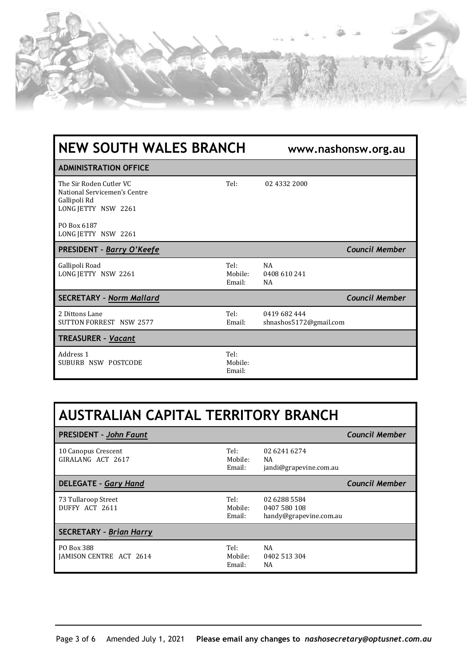

| <b>NEW SOUTH WALES BRANCH</b>                                                                  |                           | www.nashonsw.org.au                    |                       |
|------------------------------------------------------------------------------------------------|---------------------------|----------------------------------------|-----------------------|
| <b>ADMINISTRATION OFFICE</b>                                                                   |                           |                                        |                       |
| The Sir Roden Cutler VC<br>National Servicemen's Centre<br>Gallipoli Rd<br>LONG JETTY NSW 2261 | Tel:                      | 02 4332 2000                           |                       |
| PO Box 6187<br>LONG JETTY NSW 2261                                                             |                           |                                        |                       |
| <b>PRESIDENT - Barry O'Keefe</b>                                                               |                           |                                        | <b>Council Member</b> |
| Gallipoli Road<br>LONG JETTY NSW 2261                                                          | Tel:<br>Mobile:<br>Email: | <b>NA</b><br>0408 610 241<br>NA        |                       |
| <b>SECRETARY - Norm Mallard</b>                                                                |                           |                                        | <b>Council Member</b> |
| 2 Dittons Lane<br><b>SUTTON FORREST NSW 2577</b>                                               | Tel:<br>Email:            | 0419 682 444<br>shnashos5172@gmail.com |                       |
| <b>TREASURER - Vacant</b>                                                                      |                           |                                        |                       |
| Address 1<br>SUBURB NSW POSTCODE                                                               | Tel:<br>Mobile:<br>Email: |                                        |                       |

| AUSTRALIAN CAPITAL TERRITORY BRANCH          |                           |                                                        |                       |
|----------------------------------------------|---------------------------|--------------------------------------------------------|-----------------------|
| <b>PRESIDENT - John Faunt</b>                |                           |                                                        | <b>Council Member</b> |
| 10 Canopus Crescent<br>GIRALANG ACT 2617     | Tel:<br>Mobile:<br>Email: | 02 6241 6274<br>NA<br>jandi@grapevine.com.au           |                       |
| <b>DELEGATE - Gary Hand</b>                  |                           |                                                        | <b>Council Member</b> |
| 73 Tullaroop Street<br>DUFFY ACT 2611        | Tel:<br>Mobile:<br>Email: | 02 6288 5584<br>0407 580 108<br>handy@grapevine.com.au |                       |
| <b>SECRETARY - Brian Harry</b>               |                           |                                                        |                       |
| PO Box 388<br><b>JAMISON CENTRE ACT 2614</b> | Tel:<br>Mobile:<br>Email: | NA<br>0402 513 304<br>NA                               |                       |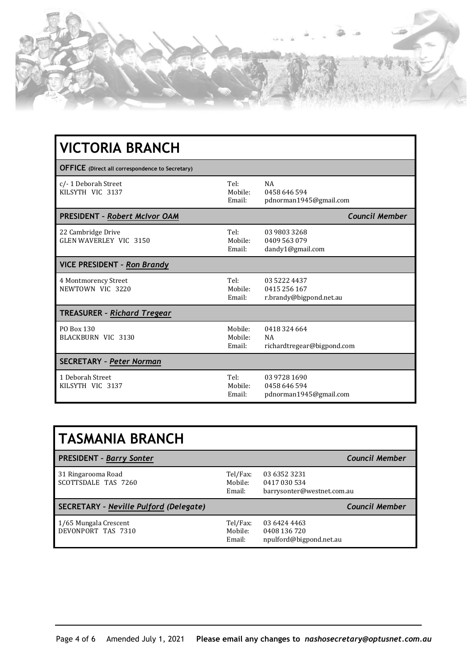

| <b>VICTORIA BRANCH</b>                                 |                              |                                                         |
|--------------------------------------------------------|------------------------------|---------------------------------------------------------|
| <b>OFFICE</b> (Direct all correspondence to Secretary) |                              |                                                         |
| c/-1 Deborah Street<br>KILSYTH VIC 3137                | Tel:<br>Mobile:<br>Email:    | <b>NA</b><br>0458 646 594<br>pdnorman1945@gmail.com     |
| <b>PRESIDENT - Robert McIvor OAM</b>                   |                              | <b>Council Member</b>                                   |
| 22 Cambridge Drive<br>GLEN WAVERLEY VIC 3150           | Tel:<br>Mobile:<br>Email:    | 03 9803 3268<br>0409 563 079<br>dandy1@gmail.com        |
| <b>VICE PRESIDENT - Ron Brandy</b>                     |                              |                                                         |
| 4 Montmorency Street<br>NEWTOWN VIC 3220               | Tel:<br>Mobile:<br>Email:    | 03 5222 4437<br>0415 256 167<br>r.brandy@bigpond.net.au |
| <b>TREASURER - Richard Tregear</b>                     |                              |                                                         |
| PO Box 130<br>BLACKBURN VIC 3130                       | Mobile:<br>Mobile:<br>Email: | 0418 324 664<br><b>NA</b><br>richardtregear@bigpond.com |
| <b>SECRETARY - Peter Norman</b>                        |                              |                                                         |
| 1 Deborah Street<br>KILSYTH VIC 3137                   | Tel:<br>Mobile:<br>Email:    | 03 9728 1690<br>0458 646 594<br>pdnorman1945@gmail.com  |

| <b>TASMANIA BRANCH</b>                      |                               |                                                            |                       |
|---------------------------------------------|-------------------------------|------------------------------------------------------------|-----------------------|
| <b>PRESIDENT - Barry Sonter</b>             |                               |                                                            | Council Member        |
| 31 Ringarooma Road<br>SCOTTSDALE TAS 7260   | Tel/Fax:<br>Mobile:<br>Email: | 03 6352 3231<br>0417 030 534<br>barrysonter@westnet.com.au |                       |
| SECRETARY - Neville Pulford (Delegate)      |                               |                                                            | <b>Council Member</b> |
| 1/65 Mungala Crescent<br>DEVONPORT TAS 7310 | Tel/Fax:<br>Mobile:<br>Email: | 03 6424 4463<br>0408 136 720<br>npulford@bigpond.net.au    |                       |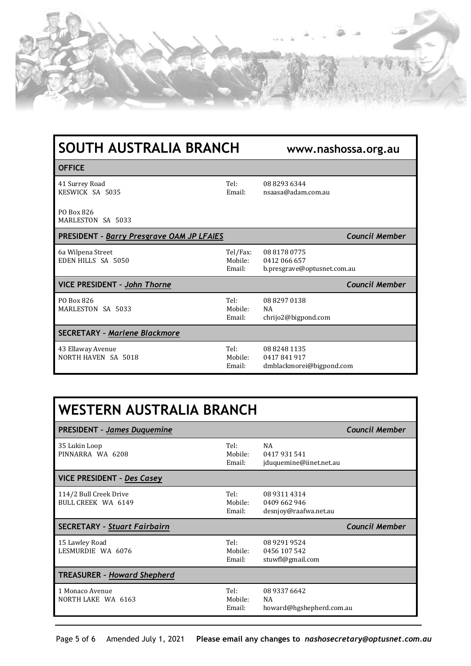

| SOUTH AUSTRALIA BRANCH                           |                               | www.nashossa.org.au                                         |                       |
|--------------------------------------------------|-------------------------------|-------------------------------------------------------------|-----------------------|
| <b>OFFICE</b>                                    |                               |                                                             |                       |
| 41 Surrey Road<br>KESWICK SA 5035                | Tel:<br>Email:                | 08 8293 6344<br>nsaasa@adam.com.au                          |                       |
| PO Box 826<br>MARLESTON SA 5033                  |                               |                                                             |                       |
| <b>PRESIDENT - Barry Presgrave OAM JP LFAIES</b> |                               |                                                             | <b>Council Member</b> |
| 6a Wilpena Street<br>EDEN HILLS SA 5050          | Tel/Fax:<br>Mobile:<br>Email: | 08 8178 0775<br>0412 066 657<br>b.presgrave@optusnet.com.au |                       |
| <b>VICE PRESIDENT - John Thorne</b>              |                               |                                                             | <b>Council Member</b> |
| PO Box 826<br>MARLESTON SA 5033                  | Tel:<br>Mobile:<br>Email:     | 08 8297 0138<br><b>NA</b><br>chrijo2@bigpond.com            |                       |
| <b>SECRETARY - Marlene Blackmore</b>             |                               |                                                             |                       |
| 43 Ellaway Avenue<br>NORTH HAVEN SA 5018         | Tel:<br>Mobile:<br>Email:     | 0882481135<br>0417841917<br>dmblackmorei@bigpond.com        |                       |

| WESTERN AUSTRALIA BRANCH                     |                           |                                                       |                       |
|----------------------------------------------|---------------------------|-------------------------------------------------------|-----------------------|
| <b>PRESIDENT - James Duquemine</b>           |                           |                                                       | <b>Council Member</b> |
| 35 Lukin Loop<br>PINNARRA WA 6208            | Tel:<br>Mobile:<br>Email: | <b>NA</b><br>0417931541<br>jduquemine@iinet.net.au    |                       |
| <b>VICE PRESIDENT - Des Casey</b>            |                           |                                                       |                       |
| 114/2 Bull Creek Drive<br>BULL CREEK WA 6149 | Tel:<br>Mobile:<br>Email: | 08 9311 4314<br>0409 662 946<br>desnjoy@raafwa.net.au |                       |
| <b>SECRETARY - Stuart Fairbairn</b>          |                           |                                                       | <b>Council Member</b> |
| 15 Lawley Road<br>LESMURDIE WA 6076          | Tel:<br>Mobile:<br>Email: | 08 9291 9524<br>0456 107 542<br>stuwfl@gmail.com      |                       |
| <b>TREASURER - Howard Shepherd</b>           |                           |                                                       |                       |
| 1 Monaco Avenue<br>NORTH LAKE WA 6163        | Tel:<br>Mobile:<br>Email: | 08 9337 6642<br>NA<br>howard@hgshepherd.com.au        |                       |